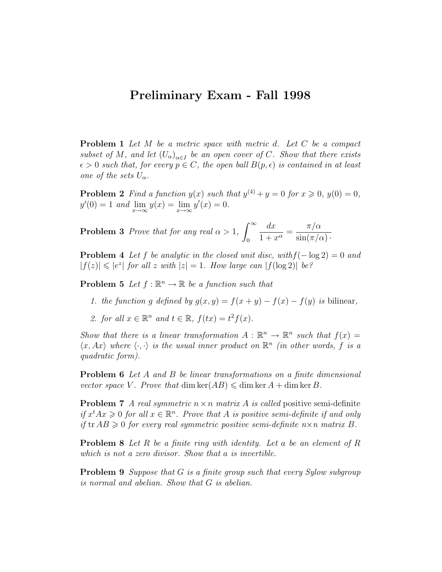## Preliminary Exam - Fall 1998

**Problem 1** Let M be a metric space with metric d. Let C be a compact subset of M, and let  $(U_\alpha)_{\alpha \in I}$  be an open cover of C. Show that there exists  $\epsilon > 0$  such that, for every  $p \in C$ , the open ball  $B(p, \epsilon)$  is contained in at least one of the sets  $U_{\alpha}$ .

**Problem 2** Find a function  $y(x)$  such that  $y^{(4)} + y = 0$  for  $x \ge 0$ ,  $y(0) = 0$ ,  $y'(0) = 1$  and  $\lim_{x \to \infty} y(x) = \lim_{x \to \infty} y'(x) = 0.$ 

**Problem 3** Prove that for any real  $\alpha > 1$ ,  $\int_{0}^{\infty}$ 0  $dx$  $\frac{dx}{1+x^{\alpha}} =$  $\pi/\alpha$  $\sin(\pi/\alpha) \cdot$ 

**Problem 4** Let f be analytic in the closed unit disc, with  $f(-\log 2) = 0$  and  $|f(z)| \leqslant |e^z|$  for all z with  $|z|=1$ . How large can  $|f(\log 2)|$  be?

**Problem 5** Let  $f : \mathbb{R}^n \to \mathbb{R}$  be a function such that

- 1. the function g defined by  $g(x, y) = f(x + y) f(x) f(y)$  is bilinear,
- 2. for all  $x \in \mathbb{R}^n$  and  $t \in \mathbb{R}$ ,  $f(tx) = t^2 f(x)$ .

Show that there is a linear transformation  $A: \mathbb{R}^n \to \mathbb{R}^n$  such that  $f(x) =$  $\langle x, Ax \rangle$  where  $\langle \cdot, \cdot \rangle$  is the usual inner product on  $\mathbb{R}^n$  (in other words, f is a quadratic form).

Problem 6 Let A and B be linear transformations on a finite dimensional vector space V. Prove that dim ker $(AB) \leq \dim \ker A + \dim \ker B$ .

**Problem 7** A real symmetric  $n \times n$  matrix A is called positive semi-definite if  $x^t A x \geq 0$  for all  $x \in \mathbb{R}^n$ . Prove that A is positive semi-definite if and only if tr  $AB \geqslant 0$  for every real symmetric positive semi-definite  $n \times n$  matrix B.

Problem 8 Let R be a finite ring with identity. Let a be an element of R which is not a zero divisor. Show that a is invertible.

**Problem 9** Suppose that G is a finite group such that every Sylow subgroup is normal and abelian. Show that G is abelian.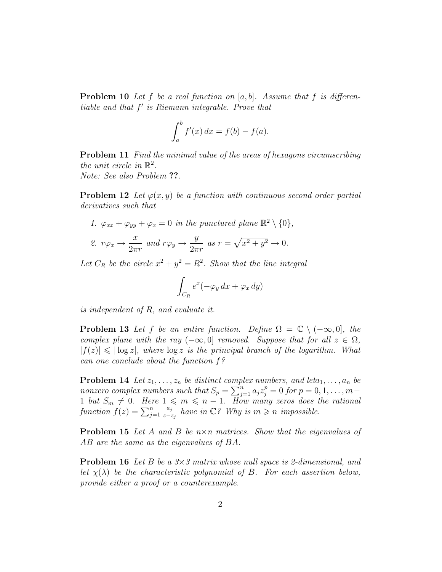**Problem 10** Let f be a real function on  $[a, b]$ . Assume that f is differentiable and that  $f'$  is Riemann integrable. Prove that

$$
\int_a^b f'(x) dx = f(b) - f(a).
$$

Problem 11 Find the minimal value of the areas of hexagons circumscribing the unit circle in  $\mathbb{R}^2$ . Note: See also Problem ??.

**Problem 12** Let  $\varphi(x, y)$  be a function with continuous second order partial derivatives such that

1.  $\varphi_{xx} + \varphi_{yy} + \varphi_x = 0$  in the punctured plane  $\mathbb{R}^2 \setminus \{0\},$ 2.  $r\varphi_x \rightarrow \frac{x}{2}$  $rac{x}{2\pi r}$  and  $r\varphi_y \to \frac{y}{2\pi}$  $2\pi r$ as  $r = \sqrt{x^2 + y^2} \rightarrow 0$ .

Let  $C_R$  be the circle  $x^2 + y^2 = R^2$ . Show that the line integral

$$
\int_{C_R} e^x (-\varphi_y \, dx + \varphi_x \, dy)
$$

is independent of R, and evaluate it.

**Problem 13** Let f be an entire function. Define  $\Omega = \mathbb{C} \setminus (-\infty, 0]$ , the complex plane with the ray  $(-\infty, 0]$  removed. Suppose that for all  $z \in \Omega$ ,  $|f(z)| \leqslant |\log z|$ , where  $\log z$  is the principal branch of the logarithm. What can one conclude about the function f?

**Problem 14** Let  $z_1, \ldots, z_n$  be distinct complex numbers, and leta<sub>1</sub>, ...,  $a_n$  be nonzero complex numbers such that  $S_p = \sum_{j=1}^n a_j z_j^p = 0$  for  $p = 0, 1, \ldots, m-1$ 1 but  $S_m \neq 0$ . Here  $1 \leq m \leq n-1$ . How many zeros does the rational function  $f(z) = \sum_{j=1}^n$  $a_j$  $rac{a_j}{z-z_j}$  have in  $\mathbb{C}$ ? Why is  $m \geqslant n$  impossible.

**Problem 15** Let A and B be  $n \times n$  matrices. Show that the eigenvalues of AB are the same as the eigenvalues of BA.

**Problem 16** Let B be a  $3\times3$  matrix whose null space is 2-dimensional, and let  $\chi(\lambda)$  be the characteristic polynomial of B. For each assertion below, provide either a proof or a counterexample.